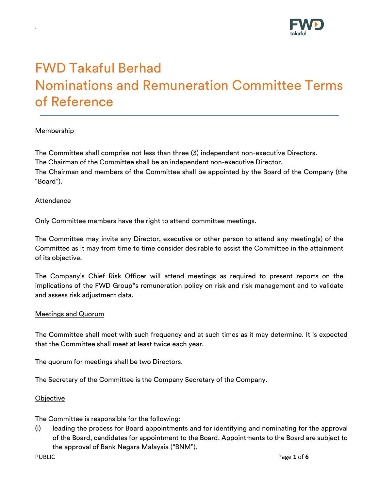

# FWD Takaful Berhad Nominations and Remuneration Committee Terms of Reference

# Membership

.

The Committee shall comprise not less than three (3) independent non-executive Directors. The Chairman of the Committee shall be an independent non-executive Director. The Chairman and members of the Committee shall be appointed by the Board of the Company (the "Board").

### Attendance

Only Committee members have the right to attend committee meetings.

The Committee may invite any Director, executive or other person to attend any meeting(s) of the Committee as it may from time to time consider desirable to assist the Committee in the attainment of its objective.

The Company's Chief Risk Officer will attend meetings as required to present reports on the implications of the FWD Group''s remuneration policy on risk and risk management and to validate and assess risk adjustment data.

#### Meetings and Quorum

The Committee shall meet with such frequency and at such times as it may determine. It is expected that the Committee shall meet at least twice each year.

The quorum for meetings shall be two Directors.

The Secretary of the Committee is the Company Secretary of the Company.

#### **Objective**

The Committee is responsible for the following:

(i) leading the process for Board appointments and for identifying and nominating for the approval of the Board, candidates for appointment to the Board. Appointments to the Board are subject to the approval of Bank Negara Malaysia ("BNM").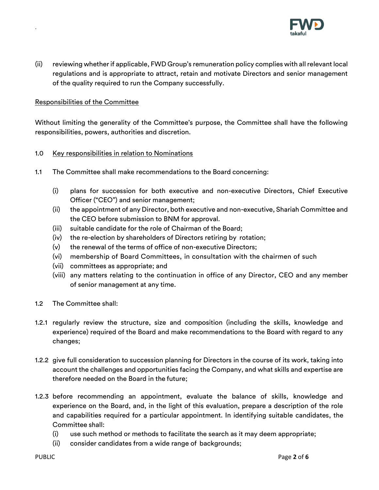

(ii) reviewing whether if applicable, FWD Group's remuneration policy complies with all relevant local regulations and is appropriate to attract, retain and motivate Directors and senior management of the quality required to run the Company successfully.

## Responsibilities of the Committee

.

Without limiting the generality of the Committee's purpose, the Committee shall have the following responsibilities, powers, authorities and discretion.

- 1.0 Key responsibilities in relation to Nominations
- 1.1 The Committee shall make recommendations to the Board concerning:
	- (i) plans for succession for both executive and non-executive Directors, Chief Executive Officer ("CEO") and senior management;
	- (ii) the appointment of any Director, both executive and non-executive, Shariah Committee and the CEO before submission to BNM for approval.
	- (iii) suitable candidate for the role of Chairman of the Board;
	- (iv) the re-election by shareholders of Directors retiring by rotation;
	- (v) the renewal of the terms of office of non-executive Directors;
	- (vi) membership of Board Committees, in consultation with the chairmen of such
	- (vii) committees as appropriate; and
	- (viii) any matters relating to the continuation in office of any Director, CEO and any member of senior management at any time.
- 1.2 The Committee shall:
- 1.2.1 regularly review the structure, size and composition (including the skills, knowledge and experience) required of the Board and make recommendations to the Board with regard to any changes;
- 1.2.2 give full consideration to succession planning for Directors in the course of its work, taking into account the challenges and opportunities facing the Company, and what skills and expertise are therefore needed on the Board in the future;
- 1.2.3 before recommending an appointment, evaluate the balance of skills, knowledge and experience on the Board, and, in the light of this evaluation, prepare a description of the role and capabilities required for a particular appointment. In identifying suitable candidates, the Committee shall:
	- (i) use such method or methods to facilitate the search as it may deem appropriate;
	- (ii) consider candidates from a wide range of backgrounds;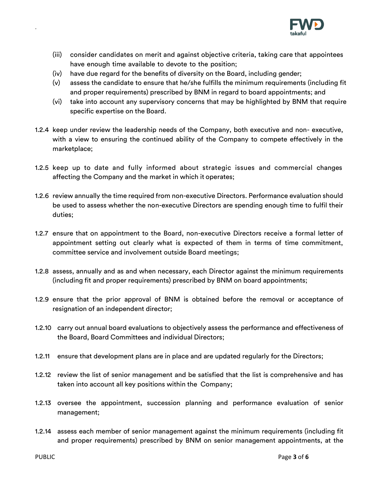

- (iii) consider candidates on merit and against objective criteria, taking care that appointees have enough time available to devote to the position;
- (iv) have due regard for the benefits of diversity on the Board, including gender;
- (v) assess the candidate to ensure that he/she fulfills the minimum requirements (including fit and proper requirements) prescribed by BNM in regard to board appointments; and
- (vi) take into account any supervisory concerns that may be highlighted by BNM that require specific expertise on the Board.
- 1.2.4 keep under review the leadership needs of the Company, both executive and non- executive, with a view to ensuring the continued ability of the Company to compete effectively in the marketplace;
- 1.2.5 keep up to date and fully informed about strategic issues and commercial changes affecting the Company and the market in which it operates;
- 1.2.6 review annually the time required from non-executive Directors. Performance evaluation should be used to assess whether the non-executive Directors are spending enough time to fulfil their duties;
- 1.2.7 ensure that on appointment to the Board, non-executive Directors receive a formal letter of appointment setting out clearly what is expected of them in terms of time commitment, committee service and involvement outside Board meetings;
- 1.2.8 assess, annually and as and when necessary, each Director against the minimum requirements (including fit and proper requirements) prescribed by BNM on board appointments;
- 1.2.9 ensure that the prior approval of BNM is obtained before the removal or acceptance of resignation of an independent director;
- 1.2.10 carry out annual board evaluations to objectively assess the performance and effectiveness of the Board, Board Committees and individual Directors;
- 1.2.11 ensure that development plans are in place and are updated regularly for the Directors;
- 1.2.12 review the list of senior management and be satisfied that the list is comprehensive and has taken into account all key positions within the Company;
- 1.2.13 oversee the appointment, succession planning and performance evaluation of senior management;
- 1.2.14 assess each member of senior management against the minimum requirements (including fit and proper requirements) prescribed by BNM on senior management appointments, at the

.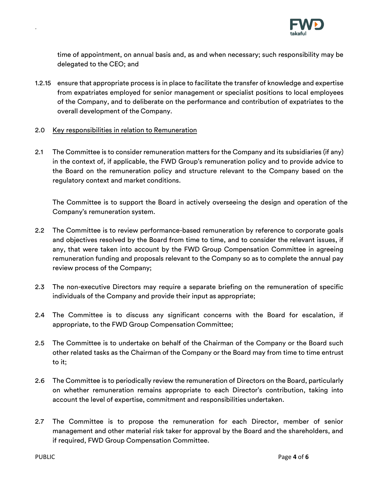

time of appointment, on annual basis and, as and when necessary; such responsibility may be delegated to the CEO; and

- 1.2.15 ensure that appropriate process is in place to facilitate the transfer of knowledge and expertise from expatriates employed for senior management or specialist positions to local employees of the Company, and to deliberate on the performance and contribution of expatriates to the overall development of the Company.
- 2.0 Key responsibilities in relation to Remuneration
- 2.1 The Committee is to consider remuneration matters for the Company and its subsidiaries (if any) in the context of, if applicable, the FWD Group's remuneration policy and to provide advice to the Board on the remuneration policy and structure relevant to the Company based on the regulatory context and market conditions.

The Committee is to support the Board in actively overseeing the design and operation of the Company's remuneration system.

- 2.2 The Committee is to review performance-based remuneration by reference to corporate goals and objectives resolved by the Board from time to time, and to consider the relevant issues, if any, that were taken into account by the FWD Group Compensation Committee in agreeing remuneration funding and proposals relevant to the Company so as to complete the annual pay review process of the Company;
- 2.3 The non-executive Directors may require a separate briefing on the remuneration of specific individuals of the Company and provide their input as appropriate;
- 2.4 The Committee is to discuss any significant concerns with the Board for escalation, if appropriate, to the FWD Group Compensation Committee;
- 2.5 The Committee is to undertake on behalf of the Chairman of the Company or the Board such other related tasks as the Chairman of the Company or the Board may from time to time entrust to it;
- 2.6 The Committee is to periodically review the remuneration of Directors on the Board, particularly on whether remuneration remains appropriate to each Director's contribution, taking into account the level of expertise, commitment and responsibilities undertaken.
- 2.7 The Committee is to propose the remuneration for each Director, member of senior management and other material risk taker for approval by the Board and the shareholders, and if required, FWD Group Compensation Committee.

.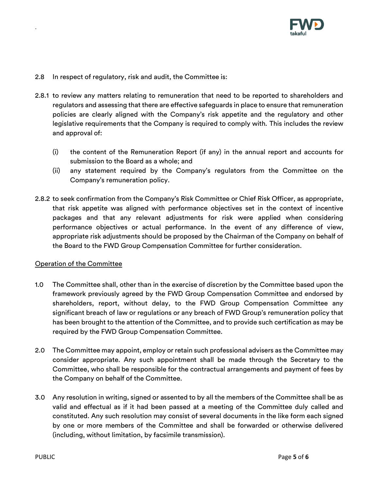

- 2.8 In respect of regulatory, risk and audit, the Committee is:
- 2.8.1 to review any matters relating to remuneration that need to be reported to shareholders and regulators and assessing that there are effective safeguards in place to ensure that remuneration policies are clearly aligned with the Company's risk appetite and the regulatory and other legislative requirements that the Company is required to comply with*.* This includes the review and approval of:
	- (i) the content of the Remuneration Report (if any) in the annual report and accounts for submission to the Board as a whole; and
	- (ii) any statement required by the Company's regulators from the Committee on the Company's remuneration policy.
- 2.8.2 to seek confirmation from the Company's Risk Committee or Chief Risk Officer, as appropriate, that risk appetite was aligned with performance objectives set in the context of incentive packages and that any relevant adjustments for risk were applied when considering performance objectives or actual performance. In the event of any difference of view, appropriate risk adjustments should be proposed by the Chairman of the Company on behalf of the Board to the FWD Group Compensation Committee for further consideration.

## Operation of the Committee

.

- 1.0 The Committee shall, other than in the exercise of discretion by the Committee based upon the framework previously agreed by the FWD Group Compensation Committee and endorsed by shareholders, report, without delay, to the FWD Group Compensation Committee any significant breach of law or regulations or any breach of FWD Group's remuneration policy that has been brought to the attention of the Committee, and to provide such certification as may be required by the FWD Group Compensation Committee.
- 2.0 The Committee may appoint, employ or retain such professional advisers as the Committee may consider appropriate. Any such appointment shall be made through the Secretary to the Committee, who shall be responsible for the contractual arrangements and payment of fees by the Company on behalf of the Committee.
- 3.0 Any resolution in writing, signed or assented to by all the members of the Committee shall be as valid and effectual as if it had been passed at a meeting of the Committee duly called and constituted. Any such resolution may consist of several documents in the like form each signed by one or more members of the Committee and shall be forwarded or otherwise delivered (including, without limitation, by facsimile transmission).